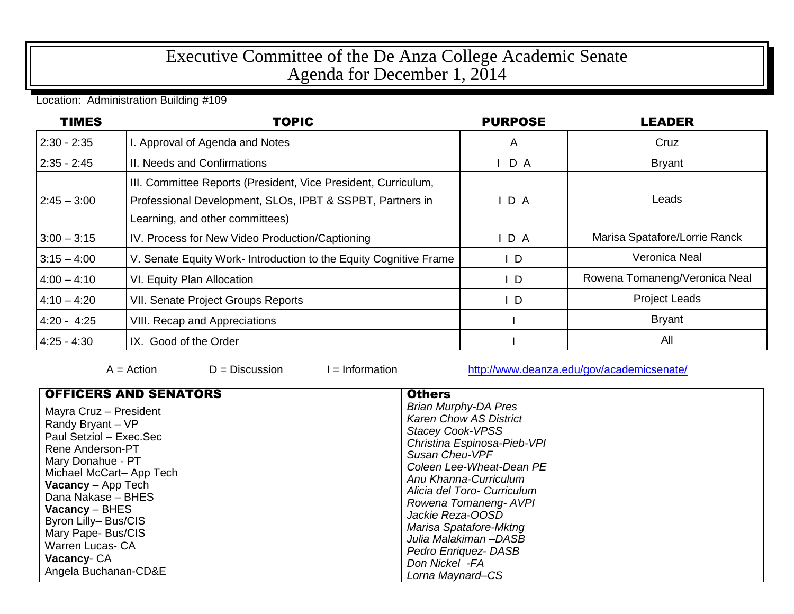## Executive Committee of the De Anza College Academic Senate Agenda for December 1, 2014

Location: Administration Building #109

| <b>TIMES</b>  | <b>TOPIC</b>                                                                                                                                                   | <b>PURPOSE</b> | <b>LEADER</b>                 |
|---------------|----------------------------------------------------------------------------------------------------------------------------------------------------------------|----------------|-------------------------------|
| $2:30 - 2:35$ | . Approval of Agenda and Notes                                                                                                                                 | A              | Cruz                          |
| $2:35 - 2:45$ | II. Needs and Confirmations                                                                                                                                    | D A            | <b>Bryant</b>                 |
| $2:45 - 3:00$ | III. Committee Reports (President, Vice President, Curriculum,<br>Professional Development, SLOs, IPBT & SSPBT, Partners in<br>Learning, and other committees) | D A            | Leads                         |
| $3:00 - 3:15$ | IV. Process for New Video Production/Captioning                                                                                                                | IDA            | Marisa Spatafore/Lorrie Ranck |
| $3:15 - 4:00$ | V. Senate Equity Work-Introduction to the Equity Cognitive Frame                                                                                               | D              | Veronica Neal                 |
| $4:00 - 4:10$ | VI. Equity Plan Allocation                                                                                                                                     | $\mathsf{L}$   | Rowena Tomaneng/Veronica Neal |
| $4:10 - 4:20$ | <b>VII. Senate Project Groups Reports</b>                                                                                                                      | D              | <b>Project Leads</b>          |
| $4:20 - 4:25$ | <b>VIII. Recap and Appreciations</b>                                                                                                                           |                | <b>Bryant</b>                 |
| $4:25 - 4:30$ | IX. Good of the Order                                                                                                                                          |                | All                           |

 $A = Action$   $D = Discussion$   $I = Information$  <http://www.deanza.edu/gov/academicsenate/>

| <b>OFFICERS AND SENATORS</b>                                                                                                                                                                                                                                                                                                     | <b>Others</b>                                                                                                                                                                                                                                                                                                                                                                             |
|----------------------------------------------------------------------------------------------------------------------------------------------------------------------------------------------------------------------------------------------------------------------------------------------------------------------------------|-------------------------------------------------------------------------------------------------------------------------------------------------------------------------------------------------------------------------------------------------------------------------------------------------------------------------------------------------------------------------------------------|
| Mayra Cruz - President<br>Randy Bryant - VP<br>Paul Setziol - Exec.Sec<br><b>Rene Anderson-PT</b><br>Mary Donahue - PT<br>Michael McCart-App Tech<br><b>Vacancy</b> – App Tech<br>Dana Nakase - BHES<br>  Vacancy – BHES<br>Byron Lilly- Bus/CIS<br>Mary Pape- Bus/CIS<br>Warren Lucas- CA<br>Vacancy-CA<br>Angela Buchanan-CD&E | <b>Brian Murphy-DA Pres</b><br><b>Karen Chow AS District</b><br><b>Stacey Cook-VPSS</b><br>Christina Espinosa-Pieb-VPI<br>Susan Cheu-VPF<br>Coleen Lee-Wheat-Dean PE<br>Anu Khanna-Curriculum<br>Alicia del Toro- Curriculum<br>Rowena Tomaneng- AVPI<br>Jackie Reza-OOSD<br>Marisa Spatafore-Mktng<br>Julia Malakiman-DASB<br>Pedro Enriquez- DASB<br>Don Nickel -FA<br>Lorna Maynard-CS |